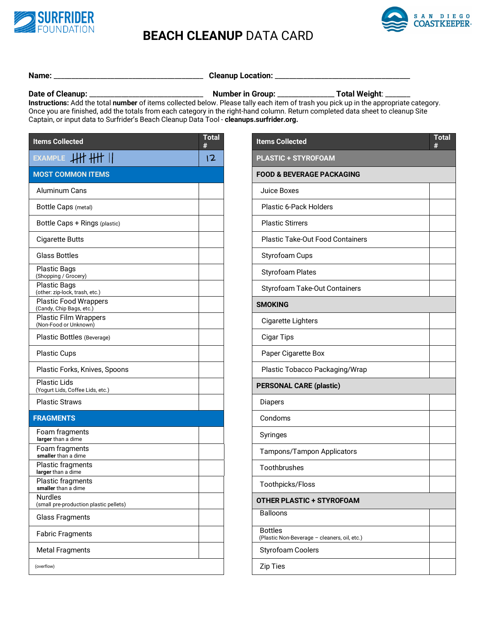

## **BEACH CLEANUP** DATA CARD



## **Name:** \_\_\_\_\_\_\_\_\_\_\_\_\_\_\_\_\_\_\_\_\_\_\_\_\_\_\_\_\_\_\_\_\_\_\_\_\_\_\_\_\_\_ **Cleanup Location:** \_\_\_\_\_\_\_\_\_\_\_\_\_\_\_\_\_\_\_\_\_\_\_\_\_\_\_\_\_\_\_\_\_\_\_\_\_\_

**Date of Cleanup:** \_\_\_\_\_\_\_\_\_\_\_\_\_\_\_\_\_\_\_\_\_\_\_\_\_\_\_\_\_\_\_\_ **Number in Group:** \_\_\_\_\_\_\_\_\_\_\_\_\_\_\_\_ **Total Weight**: \_\_\_\_\_\_\_

**Instructions:** Add the total **number** of items collected below. Please tally each item of trash you pick up in the appropriate category. Once you are finished, add the totals from each category in the right-hand column. Return completed data sheet to cleanup Site Captain, or input data to Surfrider's Beach Cleanup Data Tool - **cleanups.surfrider.org.**

| <b>Items Collected</b>                                   | <b>Total</b><br># | <b>Items Collected</b>                                         |  |  |
|----------------------------------------------------------|-------------------|----------------------------------------------------------------|--|--|
| EXAMPLE HIT HIT                                          | 12                | <b>PLASTIC + STYROFOAM</b>                                     |  |  |
| <b>MOST COMMON ITEMS</b>                                 |                   | <b>FOOD &amp; BEVERAGE PACKAGING</b>                           |  |  |
| Aluminum Cans                                            |                   | Juice Boxes                                                    |  |  |
| <b>Bottle Caps (metal)</b>                               |                   | Plastic 6-Pack Holders                                         |  |  |
| Bottle Caps + Rings (plastic)                            |                   | <b>Plastic Stirrers</b>                                        |  |  |
| <b>Cigarette Butts</b>                                   |                   | <b>Plastic Take-Out Food Containers</b>                        |  |  |
| <b>Glass Bottles</b>                                     |                   | Styrofoam Cups                                                 |  |  |
| <b>Plastic Bags</b><br>(Shopping / Grocery)              |                   | <b>Styrofoam Plates</b>                                        |  |  |
| <b>Plastic Bags</b><br>(other: zip-lock, trash, etc.)    |                   | <b>Styrofoam Take-Out Containers</b>                           |  |  |
| Plastic Food Wrappers<br>(Candy, Chip Bags, etc.)        |                   | <b>SMOKING</b>                                                 |  |  |
| Plastic Film Wrappers<br>(Non-Food or Unknown)           |                   | <b>Cigarette Lighters</b>                                      |  |  |
| Plastic Bottles (Beverage)                               |                   | <b>Cigar Tips</b>                                              |  |  |
| <b>Plastic Cups</b>                                      |                   | Paper Cigarette Box                                            |  |  |
| Plastic Forks, Knives, Spoons                            |                   | Plastic Tobacco Packaging/Wrap                                 |  |  |
| <b>Plastic Lids</b><br>(Yogurt Lids, Coffee Lids, etc.)  |                   | <b>PERSONAL CARE (plastic)</b>                                 |  |  |
| <b>Plastic Straws</b>                                    |                   | <b>Diapers</b>                                                 |  |  |
| <b>FRAGMENTS</b>                                         |                   | Condoms                                                        |  |  |
| Foam fragments<br>larger than a dime                     |                   | Syringes                                                       |  |  |
| Foam fragments<br>smaller than a dime                    |                   | Tampons/Tampon Applicators                                     |  |  |
| Plastic fragments<br>larger than a dime                  |                   | Toothbrushes                                                   |  |  |
| Plastic fragments<br>smaller than a dime                 |                   | Toothpicks/Floss                                               |  |  |
| <b>Nurdles</b><br>(small pre-production plastic pellets) |                   | <b>OTHER PLASTIC + STYROFOAM</b>                               |  |  |
| <b>Glass Fragments</b>                                   |                   | <b>Balloons</b>                                                |  |  |
| <b>Fabric Fragments</b>                                  |                   | <b>Bottles</b><br>(Plastic Non-Beverage - cleaners, oil, etc.) |  |  |
| <b>Metal Fragments</b>                                   |                   | <b>Styrofoam Coolers</b>                                       |  |  |
| (overflow)                                               |                   | <b>Zip Ties</b>                                                |  |  |

| Total<br>#     | <b>Items Collected</b>                                         | <b>Total</b><br># |
|----------------|----------------------------------------------------------------|-------------------|
| $\overline{2}$ | <b>PLASTIC + STYROFOAM</b>                                     |                   |
|                | <b>FOOD &amp; BEVERAGE PACKAGING</b>                           |                   |
|                | Juice Boxes                                                    |                   |
|                | Plastic 6-Pack Holders                                         |                   |
|                | <b>Plastic Stirrers</b>                                        |                   |
|                | <b>Plastic Take-Out Food Containers</b>                        |                   |
|                | Styrofoam Cups                                                 |                   |
|                | Styrofoam Plates                                               |                   |
|                | <b>Styrofoam Take-Out Containers</b>                           |                   |
|                | <b>SMOKING</b>                                                 |                   |
|                | Cigarette Lighters                                             |                   |
|                | <b>Cigar Tips</b>                                              |                   |
|                | Paper Cigarette Box                                            |                   |
|                | Plastic Tobacco Packaging/Wrap                                 |                   |
|                | <b>PERSONAL CARE (plastic)</b>                                 |                   |
|                | Diapers                                                        |                   |
|                | Condoms                                                        |                   |
|                | Syringes                                                       |                   |
|                | Tampons/Tampon Applicators                                     |                   |
|                | Toothbrushes                                                   |                   |
|                | Toothpicks/Floss                                               |                   |
|                | <b>OTHER PLASTIC + STYROFOAM</b>                               |                   |
|                | <b>Balloons</b>                                                |                   |
|                | <b>Bottles</b><br>(Plastic Non-Beverage - cleaners, oil, etc.) |                   |
|                | <b>Styrofoam Coolers</b>                                       |                   |
|                | Zip Ties                                                       |                   |